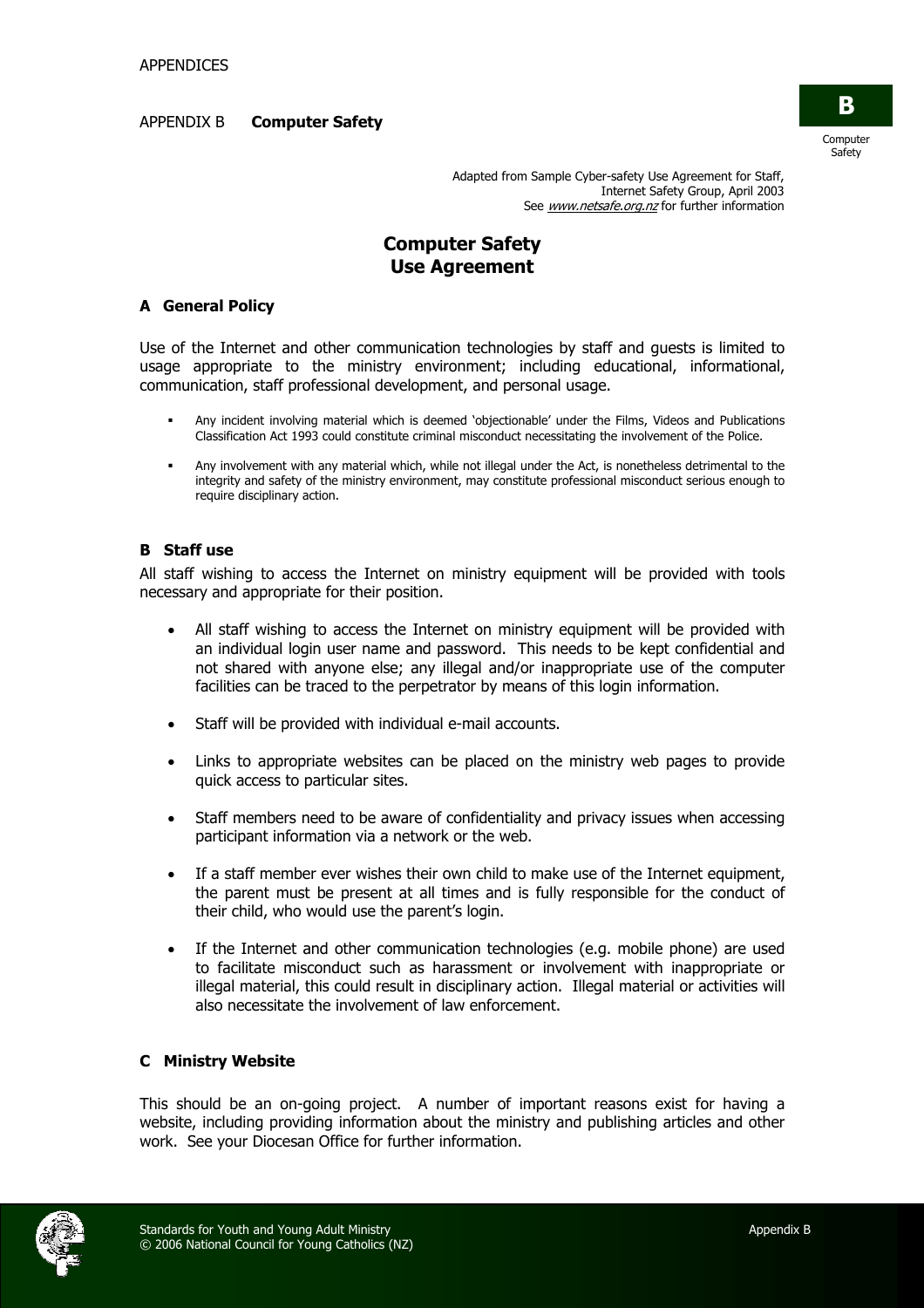#### APPENDIX B **Computer Safety**



Adapted from Sample Cyber-safety Use Agreement for Staff, Internet Safety Group, April 2003 See www.netsafe.org.nz for further information

# **Computer Safety Use Agreement**

### **A General Policy**

Use of the Internet and other communication technologies by staff and guests is limited to usage appropriate to the ministry environment; including educational, informational, communication, staff professional development, and personal usage.

- Any incident involving material which is deemed 'objectionable' under the Films, Videos and Publications Classification Act 1993 could constitute criminal misconduct necessitating the involvement of the Police.
- Any involvement with any material which, while not illegal under the Act, is nonetheless detrimental to the integrity and safety of the ministry environment, may constitute professional misconduct serious enough to require disciplinary action.

#### **B Staff use**

All staff wishing to access the Internet on ministry equipment will be provided with tools necessary and appropriate for their position.

- All staff wishing to access the Internet on ministry equipment will be provided with an individual login user name and password. This needs to be kept confidential and not shared with anyone else; any illegal and/or inappropriate use of the computer facilities can be traced to the perpetrator by means of this login information.
- Staff will be provided with individual e-mail accounts.
- Links to appropriate websites can be placed on the ministry web pages to provide quick access to particular sites.
- Staff members need to be aware of confidentiality and privacy issues when accessing participant information via a network or the web.
- If a staff member ever wishes their own child to make use of the Internet equipment, the parent must be present at all times and is fully responsible for the conduct of their child, who would use the parent's login.
- If the Internet and other communication technologies (e.g. mobile phone) are used to facilitate misconduct such as harassment or involvement with inappropriate or illegal material, this could result in disciplinary action. Illegal material or activities will also necessitate the involvement of law enforcement.

## **C Ministry Website**

This should be an on-going project. A number of important reasons exist for having a website, including providing information about the ministry and publishing articles and other work. See your Diocesan Office for further information.